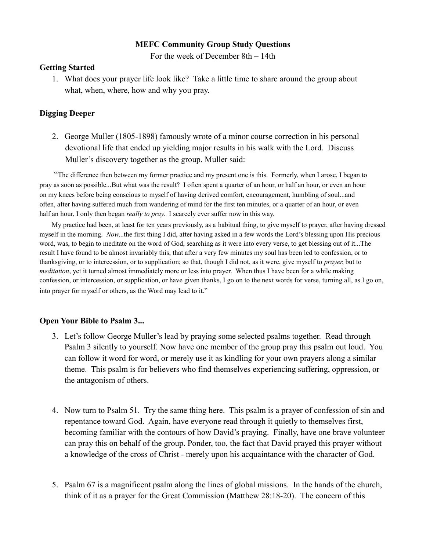#### **MEFC Community Group Study Questions**

For the week of December 8th – 14th

#### **Getting Started**

1. What does your prayer life look like? Take a little time to share around the group about what, when, where, how and why you pray.

# **Digging Deeper**

2. George Muller (1805-1898) famously wrote of a minor course correction in his personal devotional life that ended up yielding major results in his walk with the Lord. Discuss Muller's discovery together as the group. Muller said:

 "The difference then between my former practice and my present one is this. Formerly, when I arose, I began to pray as soon as possible...But what was the result? I often spent a quarter of an hour, or half an hour, or even an hour on my knees before being conscious to myself of having derived comfort, encouragement, humbling of soul...and often, after having suffered much from wandering of mind for the first ten minutes, or a quarter of an hour, or even half an hour, I only then began *really to pray*. I scarcely ever suffer now in this way.

 My practice had been, at least for ten years previously, as a habitual thing, to give myself to prayer, after having dressed myself in the morning. *Now*...the first thing I did, after having asked in a few words the Lord's blessing upon His precious word, was, to begin to meditate on the word of God, searching as it were into every verse, to get blessing out of it...The result I have found to be almost invariably this, that after a very few minutes my soul has been led to confession, or to thanksgiving, or to intercession, or to supplication; so that, though I did not, as it were, give myself to *prayer*, but to *meditation*, yet it turned almost immediately more or less into prayer. When thus I have been for a while making confession, or intercession, or supplication, or have given thanks, I go on to the next words for verse, turning all, as I go on, into prayer for myself or others, as the Word may lead to it."

## **Open Your Bible to Psalm 3...**

- 3. Let's follow George Muller's lead by praying some selected psalms together. Read through Psalm 3 silently to yourself. Now have one member of the group pray this psalm out loud. You can follow it word for word, or merely use it as kindling for your own prayers along a similar theme. This psalm is for believers who find themselves experiencing suffering, oppression, or the antagonism of others.
- 4. Now turn to Psalm 51. Try the same thing here. This psalm is a prayer of confession of sin and repentance toward God. Again, have everyone read through it quietly to themselves first, becoming familiar with the contours of how David's praying. Finally, have one brave volunteer can pray this on behalf of the group. Ponder, too, the fact that David prayed this prayer without a knowledge of the cross of Christ - merely upon his acquaintance with the character of God.
- 5. Psalm 67 is a magnificent psalm along the lines of global missions. In the hands of the church, think of it as a prayer for the Great Commission (Matthew 28:18-20). The concern of this